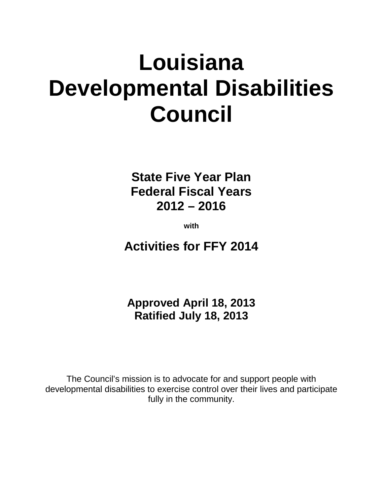# **Louisiana Developmental Disabilities Council**

**State Five Year Plan Federal Fiscal Years 2012 – 2016**

**with**

**Activities for FFY 2014**

**Approved April 18, 2013 Ratified July 18, 2013**

The Council's mission is to advocate for and support people with developmental disabilities to exercise control over their lives and participate fully in the community.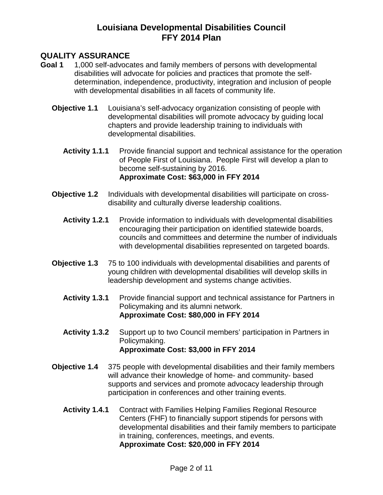#### **QUALITY ASSURANCE**

- **Goal 1** 1,000 self-advocates and family members of persons with developmental disabilities will advocate for policies and practices that promote the selfdetermination, independence, productivity, integration and inclusion of people with developmental disabilities in all facets of community life.
	- **Objective 1.1** Louisiana's self-advocacy organization consisting of people with developmental disabilities will promote advocacy by guiding local chapters and provide leadership training to individuals with developmental disabilities.
		- **Activity 1.1.1** Provide financial support and technical assistance for the operation of People First of Louisiana. People First will develop a plan to become self-sustaining by 2016. **Approximate Cost: \$63,000 in FFY 2014**
	- **Objective 1.2** Individuals with developmental disabilities will participate on crossdisability and culturally diverse leadership coalitions.
		- **Activity 1.2.1** Provide information to individuals with developmental disabilities encouraging their participation on identified statewide boards, councils and committees and determine the number of individuals with developmental disabilities represented on targeted boards.
	- **Objective 1.3** 75 to 100 individuals with developmental disabilities and parents of young children with developmental disabilities will develop skills in leadership development and systems change activities.
		- **Activity 1.3.1** Provide financial support and technical assistance for Partners in Policymaking and its alumni network. **Approximate Cost: \$80,000 in FFY 2014**
		- **Activity 1.3.2** Support up to two Council members' participation in Partners in Policymaking. **Approximate Cost: \$3,000 in FFY 2014**
	- **Objective 1.4** 375 people with developmental disabilities and their family members will advance their knowledge of home- and community- based supports and services and promote advocacy leadership through participation in conferences and other training events.
		- **Activity 1.4.1** Contract with Families Helping Families Regional Resource Centers (FHF) to financially support stipends for persons with developmental disabilities and their family members to participate in training, conferences, meetings, and events. **Approximate Cost: \$20,000 in FFY 2014**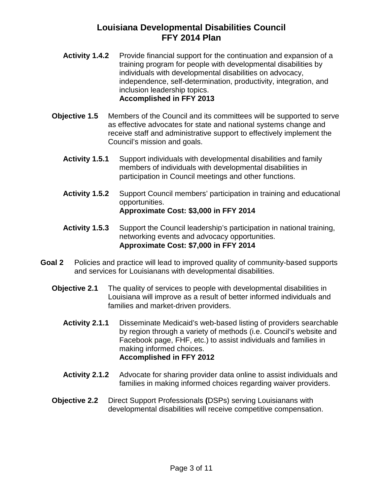- Activity 1.4.2 Provide financial support for the continuation and expansion of a training program for people with developmental disabilities by individuals with developmental disabilities on advocacy, independence, self-determination, productivity, integration, and inclusion leadership topics. **Accomplished in FFY 2013**
- **Objective 1.5** Members of the Council and its committees will be supported to serve as effective advocates for state and national systems change and receive staff and administrative support to effectively implement the Council's mission and goals.
	- **Activity 1.5.1** Support individuals with developmental disabilities and family members of individuals with developmental disabilities in participation in Council meetings and other functions.
	- **Activity 1.5.2** Support Council members' participation in training and educational opportunities. **Approximate Cost: \$3,000 in FFY 2014**
	- **Activity 1.5.3** Support the Council leadership's participation in national training, networking events and advocacy opportunities. **Approximate Cost: \$7,000 in FFY 2014**
- **Goal 2** Policies and practice will lead to improved quality of community-based supports and services for Louisianans with developmental disabilities.
	- **Objective 2.1** The quality of services to people with developmental disabilities in Louisiana will improve as a result of better informed individuals and families and market-driven providers.
		- **Activity 2.1.1** Disseminate Medicaid's web-based listing of providers searchable by region through a variety of methods (i.e. Council's website and Facebook page, FHF, etc.) to assist individuals and families in making informed choices. **Accomplished in FFY 2012**
		- **Activity 2.1.2** Advocate for sharing provider data online to assist individuals and families in making informed choices regarding waiver providers.
	- **Objective 2.2** Direct Support Professionals **(**DSPs) serving Louisianans with developmental disabilities will receive competitive compensation.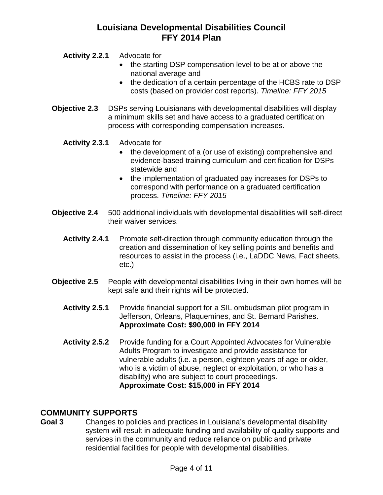**Activity 2.2.1** Advocate for

- the starting DSP compensation level to be at or above the national average and
- the dedication of a certain percentage of the HCBS rate to DSP costs (based on provider cost reports). *Timeline: FFY 2015*
- **Objective 2.3** DSPs serving Louisianans with developmental disabilities will display a minimum skills set and have access to a graduated certification process with corresponding compensation increases.
	- **Activity 2.3.1** Advocate for
		- the development of a (or use of existing) comprehensive and evidence-based training curriculum and certification for DSPs statewide and
		- the implementation of graduated pay increases for DSPs to correspond with performance on a graduated certification process. *Timeline: FFY 2015*
- **Objective 2.4** 500 additional individuals with developmental disabilities will self-direct their waiver services.
	- **Activity 2.4.1** Promote self-direction through community education through the creation and dissemination of key selling points and benefits and resources to assist in the process (i.e., LaDDC News, Fact sheets, etc.)
- **Objective 2.5** People with developmental disabilities living in their own homes will be kept safe and their rights will be protected.
	- **Activity 2.5.1** Provide financial support for a SIL ombudsman pilot program in Jefferson, Orleans, Plaquemines, and St. Bernard Parishes. **Approximate Cost: \$90,000 in FFY 2014**
	- Activity 2.5.2 Provide funding for a Court Appointed Advocates for Vulnerable Adults Program to investigate and provide assistance for vulnerable adults (i.e. a person, eighteen years of age or older, who is a victim of abuse, neglect or exploitation, or who has a disability) who are subject to court proceedings. **Approximate Cost: \$15,000 in FFY 2014**

# **COMMUNITY SUPPORTS**

**Goal 3** Changes to policies and practices in Louisiana's developmental disability system will result in adequate funding and availability of quality supports and services in the community and reduce reliance on public and private residential facilities for people with developmental disabilities.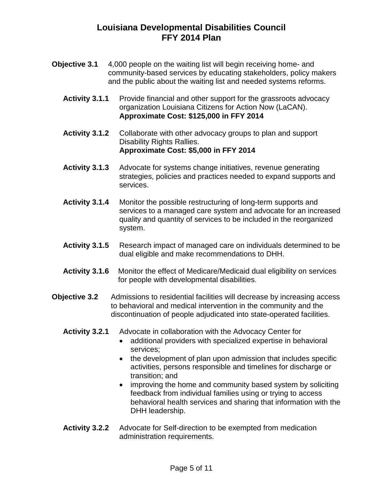- **Objective 3.1** 4,000 people on the waiting list will begin receiving home- and community-based services by educating stakeholders, policy makers and the public about the waiting list and needed systems reforms.
	- Activity 3.1.1 Provide financial and other support for the grassroots advocacy organization Louisiana Citizens for Action Now (LaCAN). **Approximate Cost: \$125,000 in FFY 2014**
	- **Activity 3.1.2** Collaborate with other advocacy groups to plan and support Disability Rights Rallies. **Approximate Cost: \$5,000 in FFY 2014**
	- **Activity 3.1.3** Advocate for systems change initiatives, revenue generating strategies, policies and practices needed to expand supports and services.
	- **Activity 3.1.4** Monitor the possible restructuring of long-term supports and services to a managed care system and advocate for an increased quality and quantity of services to be included in the reorganized system.
	- **Activity 3.1.5** Research impact of managed care on individuals determined to be dual eligible and make recommendations to DHH.
	- **Activity 3.1.6** Monitor the effect of Medicare/Medicaid dual eligibility on services for people with developmental disabilities.
- **Objective 3.2** Admissions to residential facilities will decrease by increasing access to behavioral and medical intervention in the community and the discontinuation of people adjudicated into state-operated facilities.
	- **Activity 3.2.1** Advocate in collaboration with the Advocacy Center for
		- additional providers with specialized expertise in behavioral services;
		- the development of plan upon admission that includes specific activities, persons responsible and timelines for discharge or transition; and
		- improving the home and community based system by soliciting feedback from individual families using or trying to access behavioral health services and sharing that information with the DHH leadership.
	- **Activity 3.2.2** Advocate for Self-direction to be exempted from medication administration requirements.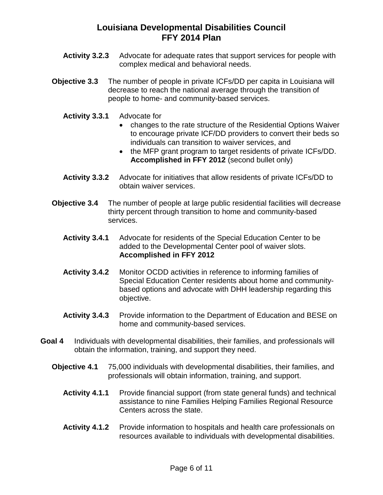- **Activity 3.2.3** Advocate for adequate rates that support services for people with complex medical and behavioral needs.
- **Objective 3.3** The number of people in private ICFs/DD per capita in Louisiana will decrease to reach the national average through the transition of people to home- and community-based services.
	- **Activity 3.3.1** Advocate for
		- changes to the rate structure of the Residential Options Waiver to encourage private ICF/DD providers to convert their beds so individuals can transition to waiver services, and
		- the MFP grant program to target residents of private ICFs/DD. **Accomplished in FFY 2012** (second bullet only)
	- **Activity 3.3.2** Advocate for initiatives that allow residents of private ICFs/DD to obtain waiver services.
- **Objective 3.4** The number of people at large public residential facilities will decrease thirty percent through transition to home and community-based services.
	- **Activity 3.4.1** Advocate for residents of the Special Education Center to be added to the Developmental Center pool of waiver slots. **Accomplished in FFY 2012**
	- **Activity 3.4.2** Monitor OCDD activities in reference to informing families of Special Education Center residents about home and communitybased options and advocate with DHH leadership regarding this objective.
	- **Activity 3.4.3** Provide information to the Department of Education and BESE on home and community-based services.
- **Goal 4** Individuals with developmental disabilities, their families, and professionals will obtain the information, training, and support they need.
	- **Objective 4.1** 75,000 individuals with developmental disabilities, their families, and professionals will obtain information, training, and support.
		- **Activity 4.1.1** Provide financial support (from state general funds) and technical assistance to nine Families Helping Families Regional Resource Centers across the state.
		- **Activity 4.1.2** Provide information to hospitals and health care professionals on resources available to individuals with developmental disabilities.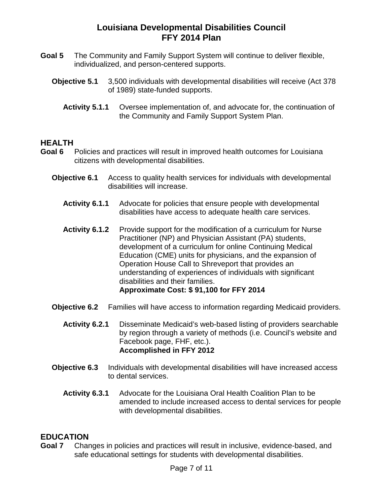- **Goal 5** The Community and Family Support System will continue to deliver flexible, individualized, and person-centered supports.
	- **Objective 5.1** 3,500 individuals with developmental disabilities will receive (Act 378 of 1989) state-funded supports.
		- **Activity 5.1.1** Oversee implementation of, and advocate for, the continuation of the Community and Family Support System Plan.

# **HEALTH**

- Policies and practices will result in improved health outcomes for Louisiana citizens with developmental disabilities.
	- **Objective 6.1** Access to quality health services for individuals with developmental disabilities will increase.
		- **Activity 6.1.1** Advocate for policies that ensure people with developmental disabilities have access to adequate health care services.
		- Activity 6.1.2 Provide support for the modification of a curriculum for Nurse Practitioner (NP) and Physician Assistant (PA) students, development of a curriculum for online Continuing Medical Education (CME) units for physicians, and the expansion of Operation House Call to Shreveport that provides an understanding of experiences of individuals with significant disabilities and their families. **Approximate Cost: \$ 91,100 for FFY 2014**
	- **Objective 6.2** Families will have access to information regarding Medicaid providers.
		- **Activity 6.2.1** Disseminate Medicaid's web-based listing of providers searchable by region through a variety of methods (i.e. Council's website and Facebook page, FHF, etc.). **Accomplished in FFY 2012**
	- **Objective 6.3** Individuals with developmental disabilities will have increased access to dental services.
		- **Activity 6.3.1** Advocate for the Louisiana Oral Health Coalition Plan to be amended to include increased access to dental services for people with developmental disabilities.

#### **EDUCATION**

**Goal 7** Changes in policies and practices will result in inclusive, evidence-based, and safe educational settings for students with developmental disabilities.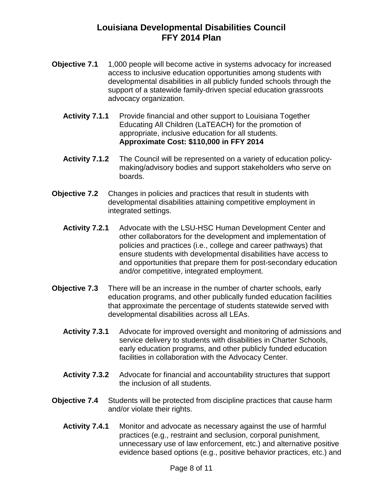- **Objective 7.1** 1,000 people will become active in systems advocacy for increased access to inclusive education opportunities among students with developmental disabilities in all publicly funded schools through the support of a statewide family-driven special education grassroots advocacy organization.
	- **Activity 7.1.1** Provide financial and other support to Louisiana Together Educating All Children (LaTEACH) for the promotion of appropriate, inclusive education for all students. **Approximate Cost: \$110,000 in FFY 2014**
	- **Activity 7.1.2** The Council will be represented on a variety of education policymaking/advisory bodies and support stakeholders who serve on boards.
- **Objective 7.2** Changes in policies and practices that result in students with developmental disabilities attaining competitive employment in integrated settings.
	- **Activity 7.2.1** Advocate with the LSU-HSC Human Development Center and other collaborators for the development and implementation of policies and practices (i.e., college and career pathways) that ensure students with developmental disabilities have access to and opportunities that prepare them for post-secondary education and/or competitive, integrated employment.
- **Objective 7.3** There will be an increase in the number of charter schools, early education programs, and other publically funded education facilities that approximate the percentage of students statewide served with developmental disabilities across all LEAs.
	- **Activity 7.3.1** Advocate for improved oversight and monitoring of admissions and service delivery to students with disabilities in Charter Schools, early education programs, and other publicly funded education facilities in collaboration with the Advocacy Center.
	- **Activity 7.3.2** Advocate for financial and accountability structures that support the inclusion of all students.
- **Objective 7.4** Students will be protected from discipline practices that cause harm and/or violate their rights.
	- **Activity 7.4.1** Monitor and advocate as necessary against the use of harmful practices (e.g., restraint and seclusion, corporal punishment, unnecessary use of law enforcement, etc.) and alternative positive evidence based options (e.g., positive behavior practices, etc.) and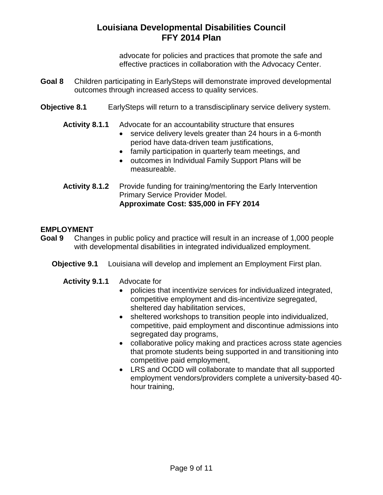advocate for policies and practices that promote the safe and effective practices in collaboration with the Advocacy Center.

- **Goal 8** Children participating in EarlySteps will demonstrate improved developmental outcomes through increased access to quality services.
- **Objective 8.1** EarlySteps will return to a transdisciplinary service delivery system.
	- **Activity 8.1.1** Advocate for an accountability structure that ensures
		- service delivery levels greater than 24 hours in a 6-month period have data-driven team justifications,
		- family participation in quarterly team meetings, and
		- outcomes in Individual Family Support Plans will be measureable.
	- **Activity 8.1.2** Provide funding for training/mentoring the Early Intervention Primary Service Provider Model. **Approximate Cost: \$35,000 in FFY 2014**

#### **EMPLOYMENT**

- **Goal 9** Changes in public policy and practice will result in an increase of 1,000 people with developmental disabilities in integrated individualized employment.
	- **Objective 9.1** Louisiana will develop and implement an Employment First plan.
		- **Activity 9.1.1** Advocate for
			- policies that incentivize services for individualized integrated, competitive employment and dis-incentivize segregated, sheltered day habilitation services,
			- sheltered workshops to transition people into individualized, competitive, paid employment and discontinue admissions into segregated day programs,
			- collaborative policy making and practices across state agencies that promote students being supported in and transitioning into competitive paid employment,
			- LRS and OCDD will collaborate to mandate that all supported employment vendors/providers complete a university-based 40 hour training,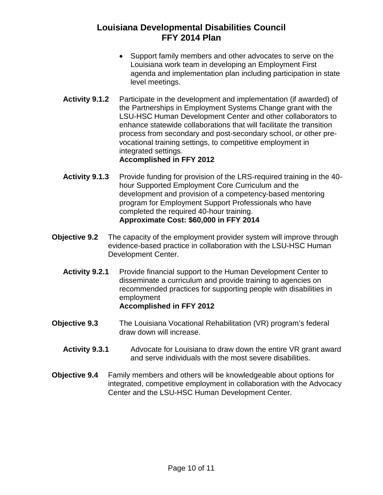- Support family members and other advocates to serve on the Louisiana work team in developing an Employment First agenda and implementation plan including participation in state level meetings.
- **Activity 9.1.2** Participate in the development and implementation (if awarded) of the Partnerships in Employment Systems Change grant with the LSU-HSC Human Development Center and other collaborators to enhance statewide collaborations that will facilitate the transition process from secondary and post-secondary school, or other prevocational training settings, to competitive employment in integrated settings. **Accomplished in FFY 2012**
- **Activity 9.1.3** Provide funding for provision of the LRS-required training in the 40 hour Supported Employment Core Curriculum and the development and provision of a competency-based mentoring program for Employment Support Professionals who have completed the required 40-hour training. **Approximate Cost: \$60,000 in FFY 2014**
- **Objective 9.2** The capacity of the employment provider system will improve through evidence-based practice in collaboration with the LSU-HSC Human Development Center.
	- **Activity 9.2.1** Provide financial support to the Human Development Center to disseminate a curriculum and provide training to agencies on recommended practices for supporting people with disabilities in employment **Accomplished in FFY 2012**
- **Objective 9.3** The Louisiana Vocational Rehabilitation (VR) program's federal draw down will increase.
	- **Activity 9.3.1** Advocate for Louisiana to draw down the entire VR grant award and serve individuals with the most severe disabilities.
- **Objective 9.4** Family members and others will be knowledgeable about options for integrated, competitive employment in collaboration with the Advocacy Center and the LSU-HSC Human Development Center.